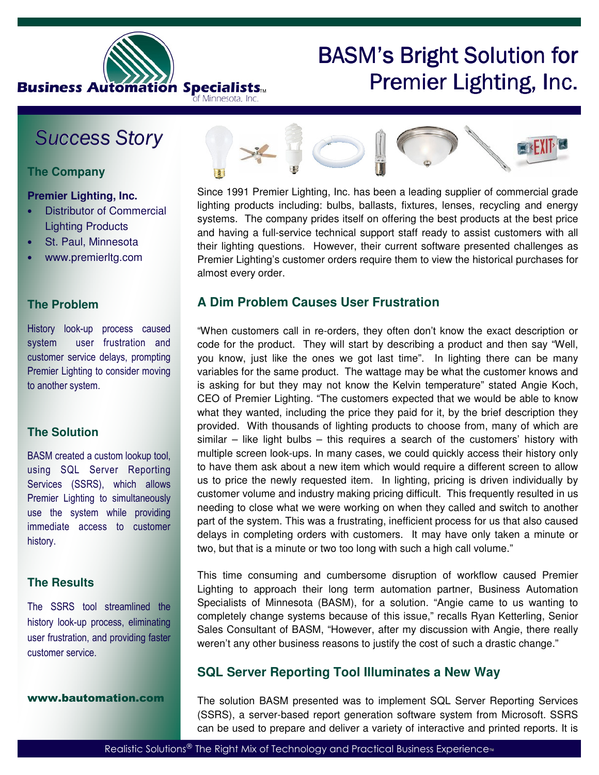

# BASM's Bright Solution for Premier Lighting, Inc.

# Success Story

# **The Company**

#### **Premier Lighting, Inc.**

- Distributor of Commercial Lighting Products
- St. Paul, Minnesota
- www.premierltg.com

## **The Problem**

History look-up process caused system user frustration and customer service delays, prompting Premier Lighting to consider moving to another system.

## **The Solution**

BASM created a custom lookup tool, using SQL Server Reporting Services (SSRS), which allows Premier Lighting to simultaneously use the system while providing immediate access to customer history.

#### **The Results**

The SSRS tool streamlined the history look-up process, eliminating user frustration, and providing faster customer service.

www.bautomation.com



Since 1991 Premier Lighting, Inc. has been a leading supplier of commercial grade lighting products including: bulbs, ballasts, fixtures, lenses, recycling and energy systems. The company prides itself on offering the best products at the best price and having a full-service technical support staff ready to assist customers with all their lighting questions. However, their current software presented challenges as Premier Lighting's customer orders require them to view the historical purchases for almost every order.

# **A Dim Problem Causes User Frustration**

"When customers call in re-orders, they often don't know the exact description or code for the product. They will start by describing a product and then say "Well, you know, just like the ones we got last time". In lighting there can be many variables for the same product. The wattage may be what the customer knows and is asking for but they may not know the Kelvin temperature" stated Angie Koch, CEO of Premier Lighting. "The customers expected that we would be able to know what they wanted, including the price they paid for it, by the brief description they provided. With thousands of lighting products to choose from, many of which are similar  $-$  like light bulbs  $-$  this requires a search of the customers' history with multiple screen look-ups. In many cases, we could quickly access their history only to have them ask about a new item which would require a different screen to allow us to price the newly requested item. In lighting, pricing is driven individually by customer volume and industry making pricing difficult. This frequently resulted in us needing to close what we were working on when they called and switch to another part of the system. This was a frustrating, inefficient process for us that also caused delays in completing orders with customers. It may have only taken a minute or two, but that is a minute or two too long with such a high call volume."

This time consuming and cumbersome disruption of workflow caused Premier Lighting to approach their long term automation partner, Business Automation Specialists of Minnesota (BASM), for a solution. "Angie came to us wanting to completely change systems because of this issue," recalls Ryan Ketterling, Senior Sales Consultant of BASM, "However, after my discussion with Angie, there really weren't any other business reasons to justify the cost of such a drastic change."

# **SQL Server Reporting Tool Illuminates a New Way**

The solution BASM presented was to implement SQL Server Reporting Services (SSRS), a server-based report generation software system from Microsoft. SSRS can be used to prepare and deliver a variety of interactive and printed reports. It is